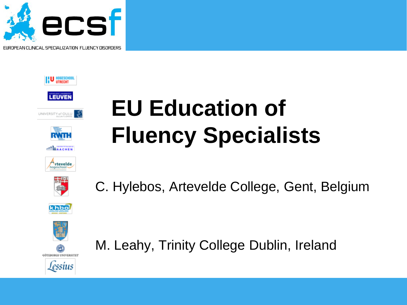









## **EU Education of Fluency Specialists**





C. Hylebos, Artevelde College, Gent, Belgium





M. Leahy, Trinity College Dublin, Ireland

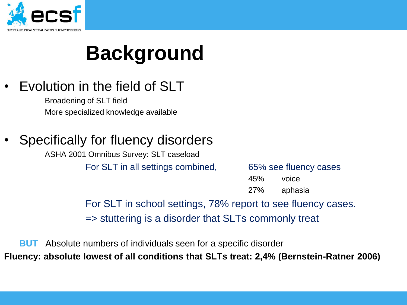

## **Background**

### • Evolution in the field of SLT

Broadening of SLT field More specialized knowledge available

### Specifically for fluency disorders

ASHA 2001 Omnibus Survey: SLT caseload For SLT in all settings combined, 65% see fluency cases

45% voice 27% aphasia

For SLT in school settings, 78% report to see fluency cases. => stuttering is a disorder that SLTs commonly treat

**BUT** Absolute numbers of individuals seen for a specific disorder **Fluency: absolute lowest of all conditions that SLTs treat: 2,4% (Bernstein-Ratner 2006)**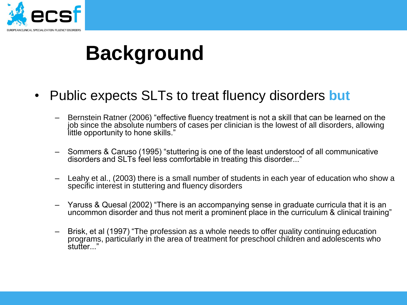

### **Background**

- Public expects SLTs to treat fluency disorders **but**
	- Bernstein Ratner (2006) "effective fluency treatment is not a skill that can be learned on the job since the absolute numbers of cases per clinician is the lowest of all disorders, allowing little opportunity to hone skills."
	- Sommers & Caruso (1995) "stuttering is one of the least understood of all communicative disorders and SLTs feel less comfortable in treating this disorder..."
	- Leahy et al., (2003) there is a small number of students in each year of education who show a specific interest in stuttering and fluency disorders
	- Yaruss & Quesal (2002) "There is an accompanying sense in graduate curricula that it is an uncommon disorder and thus not merit a prominent place in the curriculum & clinical training"
	- Brisk, et al (1997) "The profession as a whole needs to offer quality continuing education programs, particularly in the area of treatment for preschool children and adolescents who stutter...'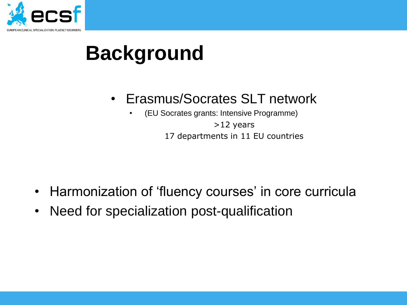

### **Background**

- Erasmus/Socrates SLT network
	- (EU Socrates grants: Intensive Programme)

>12 years 17 departments in 11 EU countries

- Harmonization of 'fluency courses' in core curricula
- Need for specialization post-qualification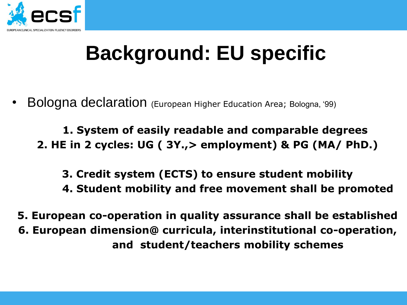

### **Background: EU specific**

• Bologna declaration (European Higher Education Area; Bologna, "99)

**1. System of easily readable and comparable degrees 2. HE in 2 cycles: UG ( 3Y.,> employment) & PG (MA/ PhD.)**

**3. Credit system (ECTS) to ensure student mobility**

**4. Student mobility and free movement shall be promoted**

**5. European co-operation in quality assurance shall be established 6. European dimension@ curricula, interinstitutional co-operation, and student/teachers mobility schemes**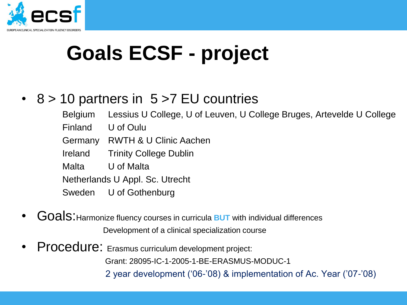

## **Goals ECSF - project**

### • 8 > 10 partners in 5 > 7 EU countries

- Belgium Lessius U College, U of Leuven, U College Bruges, Artevelde U College
- Finland U of Oulu
- Germany RWTH & U Clinic Aachen
- Ireland Trinity College Dublin
- Malta U of Malta

Netherlands U Appl. Sc. Utrecht

- Sweden U of Gothenburg
- Goals: Harmonize fluency courses in curricula **BUT** with individual differences Development of a clinical specialization course
- Procedure: Erasmus curriculum development project:

Grant: 28095-IC-1-2005-1-BE-ERASMUS-MODUC-1

2 year development ("06-"08) & implementation of Ac. Year ("07-"08)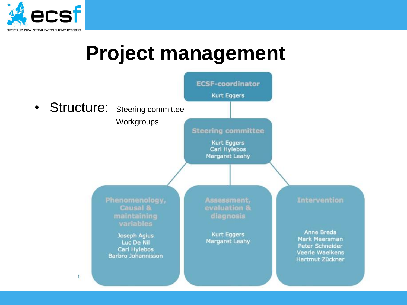

### **Project management**

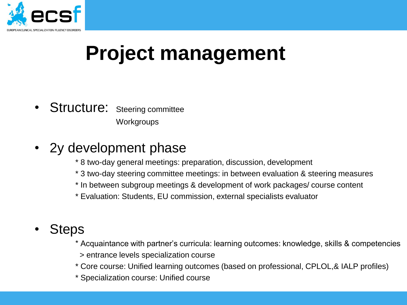

### **Project management**

- Structure: Steering committee **Workgroups**
- 2y development phase
	- \* 8 two-day general meetings: preparation, discussion, development
	- \* 3 two-day steering committee meetings: in between evaluation & steering measures
	- \* In between subgroup meetings & development of work packages/ course content
	- \* Evaluation: Students, EU commission, external specialists evaluator
- **Steps** 
	- \* Acquaintance with partner"s curricula: learning outcomes: knowledge, skills & competencies
	- > entrance levels specialization course
	- \* Core course: Unified learning outcomes (based on professional, CPLOL,& IALP profiles)
	- \* Specialization course: Unified course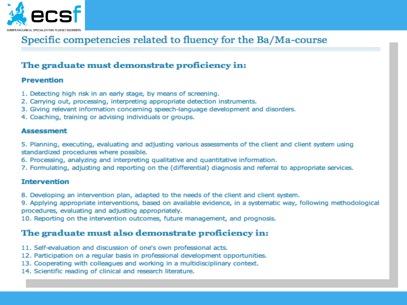

### Specific competencies related to fluency for the Ba/Ma-course

#### The graduate must demonstrate proficiency in:

#### **Prevention**

- 1. Detecting high risk in an early stage, by means of screening.
- 2. Carrying out, processing, interpreting appropriate detection instruments.
- 3. Giving relevant information concerning speech-language development and disorders.
- 4. Coaching, training or advising individuals or groups.

#### **Assessment**

5. Planning, executing, evaluating and adjusting various assessments of the client and client system using standardized procedures where possible.

- 6. Processing, analyzing and interpreting qualitative and quantitative information.
- 7. Formulating, adjusting and reporting on the (differential) diagnosis and referral to appropriate services.

#### **Intervention**

8. Developing an intervention plan, adapted to the needs of the client and client system.

9. Applying appropriate interventions, based on available evidence, in a systematic way, following methodological procedures, evaluating and adjusting appropriately.

10. Reporting on the intervention outcomes, future management, and prognosis.

#### The graduate must also demonstrate proficiency in:

- 11. Self-evaluation and discussion of one's own professional acts.
- 12. Participation on a regular basis in professional development opportunities.
- 13. Cooperating with colleagues and working in a multidisciplinary context.
- 14. Scientific reading of clinical and research literature.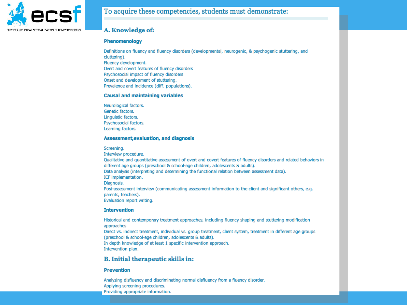

#### To acquire these competencies, students must demonstrate:

#### A. Knowledge of:

#### **Phenomenology**

Definitions on fluency and fluency disorders (developmental, neurogenic, & psychogenic stuttering, and cluttering). Fluency development. Overt and covert features of fluency disorders Psychosocial impact of fluency disorders Onset and development of stuttering. Prevalence and incidence (diff. populations).

#### **Causal and maintaining variables**

Neurological factors. Genetic factors. Linguistic factors. Psychosocial factors. Learning factors.

#### Assessment, evaluation, and diagnosis

Screening.

Interview procedure. Qualitative and quantitative assessment of overt and covert features of fluency disorders and related behaviors in different age groups (preschool & school-age children, adolescents & adults). Data analysis (interpreting and determining the functional relation between assessment data). ICF implementation. Diagnosis. Post-assessment interview (communicating assessment information to the client and significant others, e.g. parents, teachers). Evaluation report writing.

#### **Intervention**

Historical and contemporary treatment approaches, including fluency shaping and stuttering modification approaches Direct vs. indirect treatment, individual vs. group treatment, client system, treatment in different age groups (preschool & school-age children, adolescents & adults). In depth knowledge of at least 1 specific intervention approach. Intervention plan.

#### **B.** Initial therapeutic skills in:

#### **Prevention**

Analyzing disfluency and discriminating normal disfluency from a fluency disorder. Applying screening procedures. Providing appropriate information.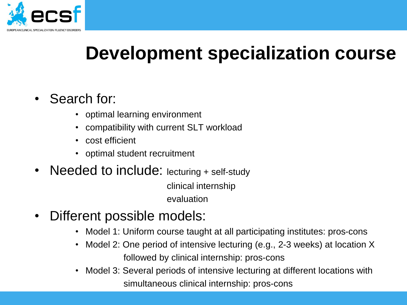

### **Development specialization course**

### • Search for:

- optimal learning environment
- compatibility with current SLT workload
- cost efficient
- optimal student recruitment
- Needed to include: lecturing + self-study

 clinical internship evaluation

- Different possible models:
	- Model 1: Uniform course taught at all participating institutes: pros-cons
	- Model 2: One period of intensive lecturing (e.g., 2-3 weeks) at location X followed by clinical internship: pros-cons
	- Model 3: Several periods of intensive lecturing at different locations with simultaneous clinical internship: pros-cons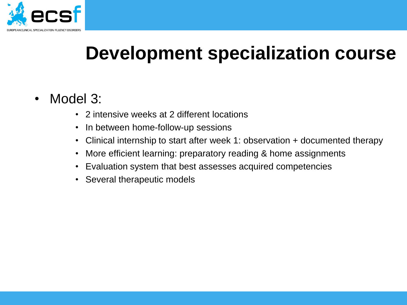

### **Development specialization course**

- Model 3:
	- 2 intensive weeks at 2 different locations
	- In between home-follow-up sessions
	- Clinical internship to start after week 1: observation + documented therapy
	- More efficient learning: preparatory reading & home assignments
	- Evaluation system that best assesses acquired competencies
	- Several therapeutic models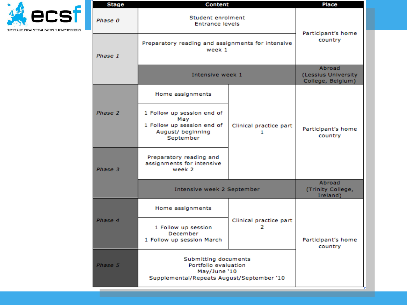

| <b>Stage</b> | Content                                                                                                   |                             | Place                                              |
|--------------|-----------------------------------------------------------------------------------------------------------|-----------------------------|----------------------------------------------------|
| Phase 0      | Student enrolment<br><b>Entrance levels</b>                                                               |                             | Participant's home                                 |
| Phase 1      | Preparatory reading and assignments for intensive<br>week 1                                               |                             | country                                            |
|              | Intensive week 1                                                                                          |                             | Abroad<br>(Lessius University<br>College, Belgium) |
|              | Home assignments                                                                                          |                             |                                                    |
| Phase 2      | 1 Follow up session end of<br>Mav<br>1 Follow up session end of<br>August/ beginning<br>September         | Clinical practice part<br>1 | Participant's home<br>country                      |
| Phase 3      | Preparatory reading and<br>assignments for intensive<br>week 2                                            |                             |                                                    |
|              | Intensive week 2 September                                                                                |                             | Abroad<br>(Trinity College,<br>Ireland)            |
|              | Home assignments                                                                                          |                             |                                                    |
| Phase 4      | 1 Follow up session<br>December<br>1 Follow up session March                                              | Clinical practice part<br>2 | Participant's home<br>country                      |
| Phase 5      | Submitting documents<br>Portfolio evaluation<br>May/June '10<br>Supplemental/Repeats August/September '10 |                             |                                                    |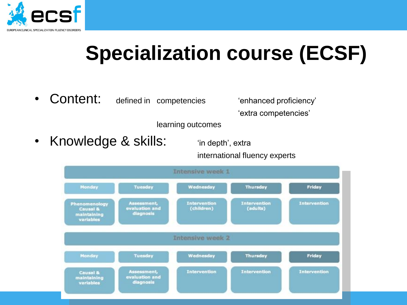

• Content: defined in competencies "enhanced proficiency"

"extra competencies"

learning outcomes

• Knowledge & skills: "in depth', extra

international fluency experts

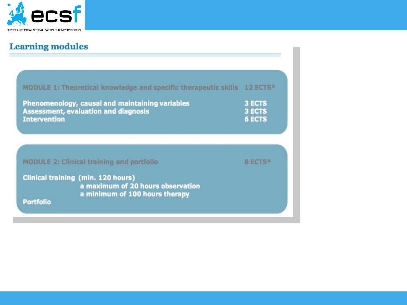

### **Learning modules**

| MODULE 1: Theoretical knowledge and specific therapeutic skills 12 ECTS*                                                      |                                                 |
|-------------------------------------------------------------------------------------------------------------------------------|-------------------------------------------------|
| Phenomenology, causal and maintaining variables<br><b>Assessment, evaluation and diagnosis</b><br><b>Intervention</b>         | <b>3 ECTS</b><br><b>3 ECTS</b><br><b>6 ECTS</b> |
| <b>MODULE 2: Clinical training and portfolio</b>                                                                              | <b>BECIS*</b>                                   |
| Clinical training (min. 120 hours)<br>a maximum of 20 hours observation<br>a minimum of 100 hours therapy<br><b>Portfolio</b> |                                                 |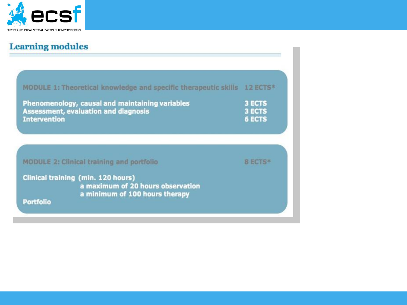

### **Learning modules**

| MODULE 1: Theoretical knowledge and specific therapeutic skills<br>Phenomenology, causal and maintaining variables<br><b>Assessment, evaluation and diagnosis</b><br><b>Intervention</b> | $12$ ECTS <sup>*</sup><br><b>3 ECTS</b><br><b>3 ECTS</b><br><b>6 ECTS</b> |
|------------------------------------------------------------------------------------------------------------------------------------------------------------------------------------------|---------------------------------------------------------------------------|
| <b>MODULE 2: Clinical training and portfolio</b>                                                                                                                                         | <b>B ECTS*</b>                                                            |
| <b>Clinical training (min. 120 hours)</b><br>a maximum of 20 hours observation<br>a minimum of 100 hours therapy<br><b>Portfolio</b>                                                     |                                                                           |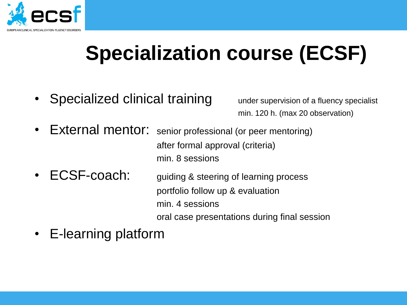

• Specialized clinical training under supervision of a fluency specialist

min. 120 h. (max 20 observation)

- External mentor: senior professional (or peer mentoring) after formal approval (criteria) min. 8 sessions
- ECSF-coach: guiding & steering of learning process portfolio follow up & evaluation min. 4 sessions oral case presentations during final session
- E-learning platform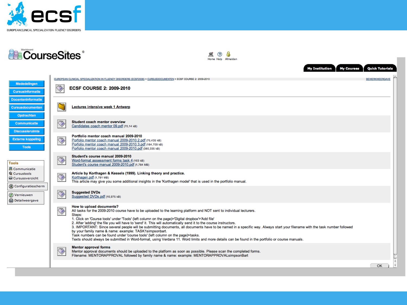

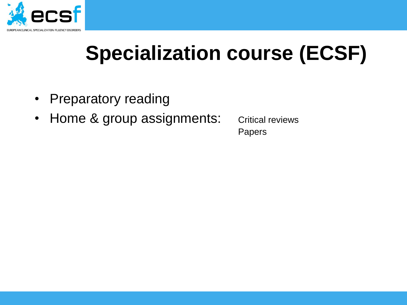

- Preparatory reading
- Home & group assignments: Critical reviews

Papers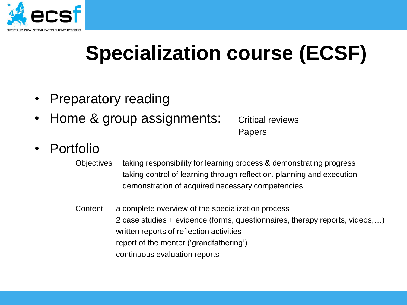

- Preparatory reading
- Home & group assignments: Critical reviews

Papers

- Portfolio
	- Objectives taking responsibility for learning process & demonstrating progress taking control of learning through reflection, planning and execution demonstration of acquired necessary competencies
	- Content a complete overview of the specialization process 2 case studies + evidence (forms, questionnaires, therapy reports, videos,…) written reports of reflection activities report of the mentor ('grandfathering') continuous evaluation reports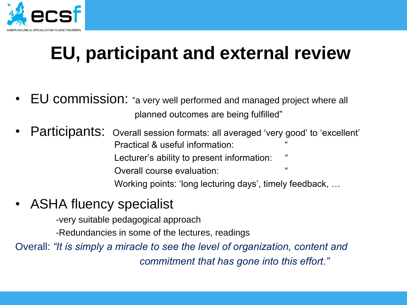

### **EU, participant and external review**

- EU commission: "a very well performed and managed project where all planned outcomes are being fulfilled"
- Participants: Overall session formats: all averaged 'very good' to 'excellent' Practical & useful information: Lecturer's ability to present information: Overall course evaluation: Working points: 'long lecturing days', timely feedback, ...
- ASHA fluency specialist

-very suitable pedagogical approach

-Redundancies in some of the lectures, readings

Overall: *"It is simply a miracle to see the level of organization, content and commitment that has gone into this effort."*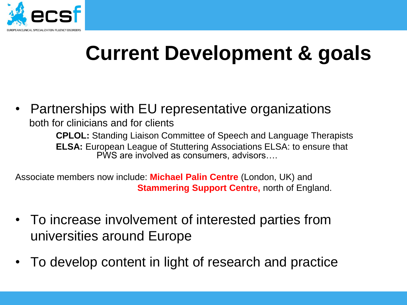

## **Current Development & goals**

• Partnerships with EU representative organizations both for clinicians and for clients **CPLOL:** Standing Liaison Committee of Speech and Language Therapists **ELSA:** European League of Stuttering Associations ELSA: to ensure that PWS are involved as consumers, advisors….

Associate members now include: **Michael Palin Centre** (London, UK) and **Stammering Support Centre, north of England.** 

- To increase involvement of interested parties from universities around Europe
- To develop content in light of research and practice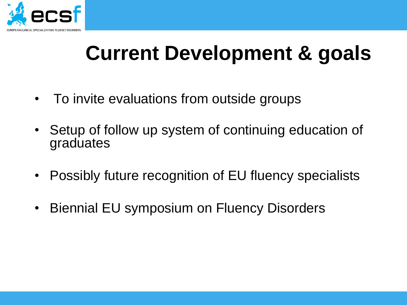

### **Current Development & goals**

- To invite evaluations from outside groups
- Setup of follow up system of continuing education of graduates
- Possibly future recognition of EU fluency specialists
- Biennial EU symposium on Fluency Disorders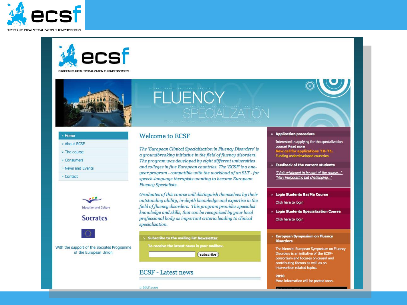



EUROPEAN CLINICAL SPECIALIZATION FLUENCY DISORDERS



# **FLUENCY**

| » Home                       |  |
|------------------------------|--|
| » About ECSF                 |  |
| » The course                 |  |
| <b>DECONSUMERS</b>           |  |
| 9912912<br>» News and Events |  |
| <b>D</b> Contact             |  |
|                              |  |
|                              |  |



#### **Welcome to ECSF**

The 'European Clinical Specialization in Fluency Disorders' is a groundbreaking initiative in the field of fluency disorders. The program was developed by eight different universities and colleges in five European countries. The 'ECSF' is a oneyear program - compatible with the workload of an SLT - for speech-language therapists wanting to become European **Fluency Specialists.** 

Graduates of this course will distinguish themselves by their outstanding ability, in-depth knowledge and expertise in the field of fluency disorders. This program provides specialist knowledge and skills, that can be recognized by your local professional body as important criteria leading to clinical specialization.

> Subscribe to the mailing list Newsletter

To receive the latest news in your mailbox.

subscribe

#### **ECSF** - Latest news

**Login Students Ba/Ma Course** 

Click here to login

> Application procedure

course? Read more

**Login Students Specialization Course** 

Interested in applying for the specialization

"I felt privileged to be part of the course..." "Very invigorating but challenging..."

New call for applications '10-'11.<br>Funding underdeveloped countries.

Feedback of the current students

Click here to login

#### **European Symposium on Fluency Disorders**

The biennial European Symposium on Fluency Disorders is an initiative of the ECSFconsortium and focuses on causal and contributing factors as well as on intervention related topics.

2010 More information will be posted soon.

15 MAY 2009